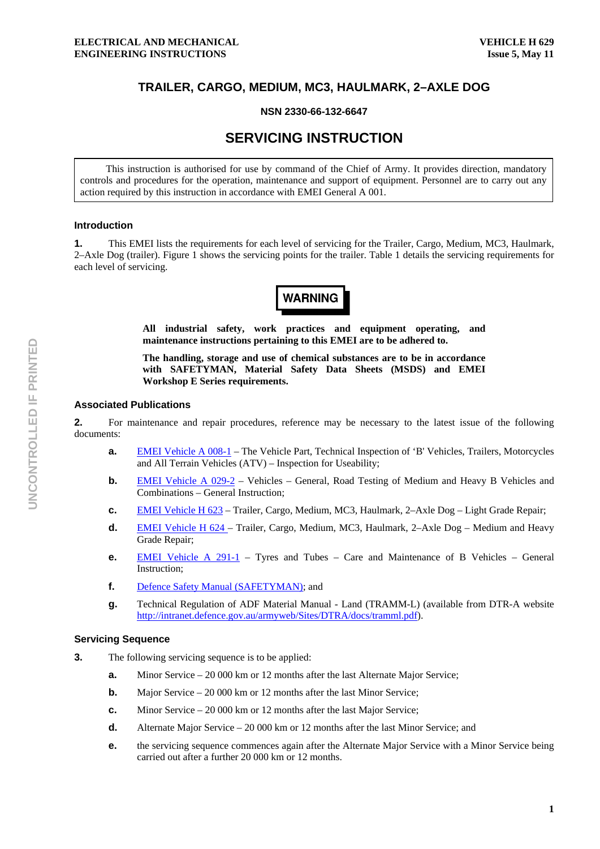# **TRAILER, CARGO, MEDIUM, MC3, HAULMARK, 2–AXLE DOG**

# **NSN 2330-66-132-6647**

# **SERVICING INSTRUCTION**

This instruction is authorised for use by command of the Chief of Army. It provides direction, mandatory controls and procedures for the operation, maintenance and support of equipment. Personnel are to carry out any action required by this instruction in accordance with EMEI General A 001.

#### **Introduction**

**1.** This EMEI lists the requirements for each level of servicing for the Trailer, Cargo, Medium, MC3, Haulmark, 2–Axle Dog (trailer). Figure 1 shows the servicing points for the trailer. Table 1 details the servicing requirements for each level of servicing.



**All industrial safety, work practices and equipment operating, and maintenance instructions pertaining to this EMEI are to be adhered to.** 

**The handling, storage and use of chemical substances are to be in accordance with SAFETYMAN, Material Safety Data Sheets (MSDS) and EMEI Workshop E Series requirements.** 

# **Associated Publications**

**2.** For maintenance and repair procedures, reference may be necessary to the latest issue of the following documents:

- **a. EMEI Vehicle A 008-1** The Vehicle Part, Technical Inspection of 'B' Vehicles, Trailers, Motorcycles and All Terrain Vehicles (ATV) – Inspection for Useability;
- **b. EMEI Vehicle A 029-2** Vehicles General, Road Testing of Medium and Heavy B Vehicles and Combinations – General Instruction;
- **c.** EMEI Vehicle H 623 Trailer, Cargo, Medium, MC3, Haulmark, 2–Axle Dog Light Grade Repair;
- **d.** EMEI Vehicle H 624 Trailer, Cargo, Medium, MC3, Haulmark, 2–Axle Dog Medium and Heavy Grade Repair;
- **e.** EMEI Vehicle A 291-1 Tyres and Tubes Care and Maintenance of B Vehicles General Instruction;
- **f.** Defence Safety Manual (SAFETYMAN); and
- **g.** Technical Regulation of ADF Material Manual Land (TRAMM-L) (available from DTR-A website http://intranet.defence.gov.au/armyweb/Sites/DTRA/docs/tramml.pdf).

#### **Servicing Sequence**

- **3.** The following servicing sequence is to be applied:
	- **a.** Minor Service 20 000 km or 12 months after the last Alternate Major Service;
	- **b.** Major Service 20 000 km or 12 months after the last Minor Service:
	- **c.** Minor Service 20 000 km or 12 months after the last Major Service;
	- **d.** Alternate Major Service 20 000 km or 12 months after the last Minor Service; and
	- **e. the servicing sequence commences again after the Alternate Major Service with a Minor Service being** carried out after a further 20 000 km or 12 months.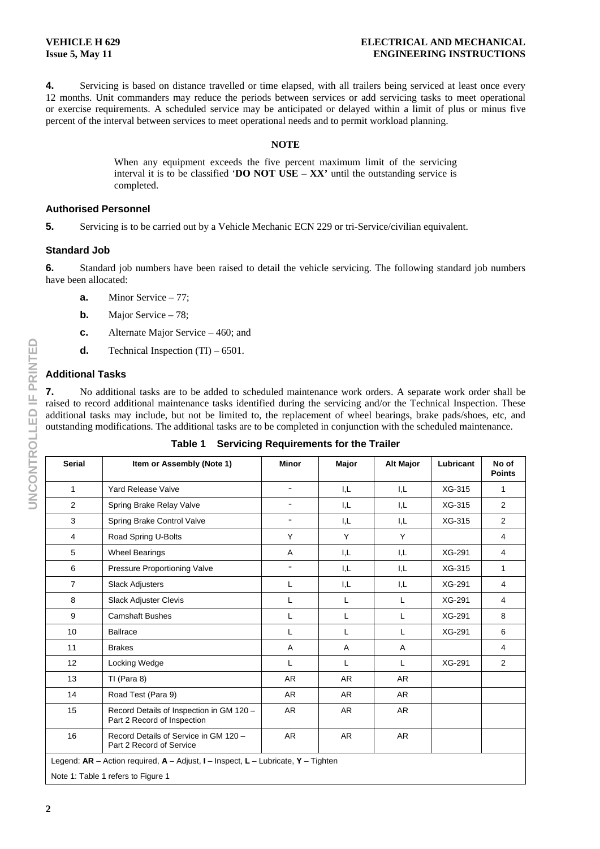**4.** Servicing is based on distance travelled or time elapsed, with all trailers being serviced at least once every 12 months. Unit commanders may reduce the periods between services or add servicing tasks to meet operational or exercise requirements. A scheduled service may be anticipated or delayed within a limit of plus or minus five percent of the interval between services to meet operational needs and to permit workload planning.

#### **NOTE**

When any equipment exceeds the five percent maximum limit of the servicing interval it is to be classified '**DO NOT USE – XX'** until the outstanding service is completed.

### **Authorised Personnel**

**5.** Servicing is to be carried out by a Vehicle Mechanic ECN 229 or tri-Service/civilian equivalent.

# **Standard Job**

**6.** Standard job numbers have been raised to detail the vehicle servicing. The following standard job numbers have been allocated:

- **a.** Minor Service 77;
- **b.** Major Service 78;
- **c.** Alternate Major Service 460; and
- **d.** Technical Inspection (TI) 6501.

# **Additional Tasks**

**7.** No additional tasks are to be added to scheduled maintenance work orders. A separate work order shall be raised to record additional maintenance tasks identified during the servicing and/or the Technical Inspection. These additional tasks may include, but not be limited to, the replacement of wheel bearings, brake pads/shoes, etc, and outstanding modifications. The additional tasks are to be completed in conjunction with the scheduled maintenance.

| <b>Serial</b>                                                                         | Item or Assembly (Note 1)                                               | <b>Minor</b>             | <b>Major</b> | <b>Alt Major</b> | Lubricant | No of<br><b>Points</b> |
|---------------------------------------------------------------------------------------|-------------------------------------------------------------------------|--------------------------|--------------|------------------|-----------|------------------------|
| $\mathbf{1}$                                                                          | <b>Yard Release Valve</b>                                               | $\overline{\phantom{a}}$ | I.L          | I.L              | XG-315    | $\mathbf{1}$           |
| $\overline{2}$                                                                        | Spring Brake Relay Valve                                                |                          | I,L          | I,L              | XG-315    | $\overline{2}$         |
| 3                                                                                     | Spring Brake Control Valve                                              |                          | I,L          | I,L              | XG-315    | $\overline{2}$         |
| $\overline{4}$                                                                        | Road Spring U-Bolts                                                     | Y                        | Y            | Y                |           | 4                      |
| 5                                                                                     | <b>Wheel Bearings</b>                                                   | Α                        | I,L          | I,L              | XG-291    | 4                      |
| 6                                                                                     | Pressure Proportioning Valve                                            |                          | I,L          | I,L              | XG-315    | $\mathbf{1}$           |
| $\overline{7}$                                                                        | <b>Slack Adjusters</b>                                                  | Г                        | I,L          | I.L              | XG-291    | $\overline{4}$         |
| 8                                                                                     | <b>Slack Adjuster Clevis</b>                                            | L                        | L            | L                | XG-291    | 4                      |
| 9                                                                                     | <b>Camshaft Bushes</b>                                                  | L                        | L            | L                | XG-291    | 8                      |
| 10                                                                                    | <b>Ballrace</b>                                                         | L                        | L            | L                | XG-291    | 6                      |
| 11                                                                                    | <b>Brakes</b>                                                           | Α                        | A            | A                |           | 4                      |
| 12                                                                                    | Locking Wedge                                                           | L                        | L            | L                | XG-291    | 2                      |
| 13                                                                                    | TI (Para 8)                                                             | <b>AR</b>                | <b>AR</b>    | AR               |           |                        |
| 14                                                                                    | Road Test (Para 9)                                                      | <b>AR</b>                | <b>AR</b>    | AR.              |           |                        |
| 15                                                                                    | Record Details of Inspection in GM 120 -<br>Part 2 Record of Inspection | <b>AR</b>                | <b>AR</b>    | AR               |           |                        |
| 16                                                                                    | Record Details of Service in GM 120 -<br>Part 2 Record of Service       | <b>AR</b>                | <b>AR</b>    | <b>AR</b>        |           |                        |
| Legend: $AR$ – Action required, $A$ – Adjust, I – Inspect, L – Lubricate, Y – Tighten |                                                                         |                          |              |                  |           |                        |
| Note 1: Table 1 refers to Figure 1                                                    |                                                                         |                          |              |                  |           |                        |

**Table 1 Servicing Requirements for the Trailer**